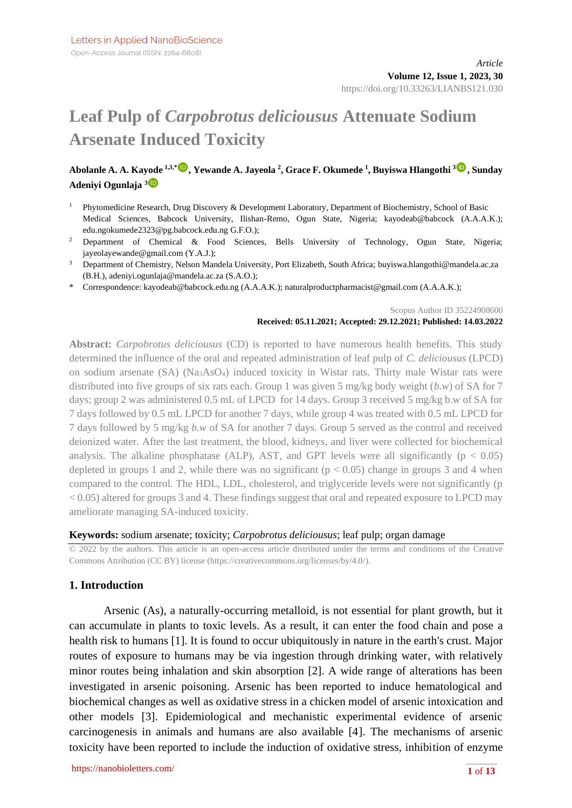# **Leaf Pulp of** *Carpobrotus deliciousus* **Attenuate Sodium Arsenate Induced Toxicity**

## **Abolanle A. A. Kayode 1,3,[\\*](https://orcid.org/0000-0002-7101-9177) , Yewande A. Jayeola <sup>2</sup> , Grace F. Okumede <sup>1</sup> , Buyiswa Hlangothi <sup>3</sup> , Sunday Adeniyi Ogunlaja [3](https://orcid.org/0000-0003-2479-4928)**

- <sup>1</sup> Phytomedicine Research, Drug Discovery & Development Laboratory, Department of Biochemistry, School of Basic Medical Sciences, Babcock University, Ilishan-Remo, Ogun State, Nigeria; kayodeab@babcock (A.A.A.K.); edu.ngokumede2323@pg.babcock.edu.ng G.F.O.);
- <sup>2</sup> Department of Chemical & Food Sciences, Bells University of Technology, Ogun State, Nigeria; jayeolayewande@gmail.com (Y.A.J.);
- <sup>3</sup> Department of Chemistry, Nelson Mandela University, Port Elizabeth, South Africa; buyiswa.hlangothi@mandela.ac.za (B.H.), adeniyi.ogunlaja@mandela.ac.za (S.A.O.);
- \* Correspondence: kayodeab@babcock.edu.ng (A.A.A.K.); naturalproductpharmacist@gmail.com (A.A.A.K.);

Scopus Author ID 35224908600

#### **Received: 05.11.2021; Accepted: 29.12.2021; Published: 14.03.2022**

**Abstract:** *Carpobrotus deliciousus* (CD) is reported to have numerous health benefits. This study determined the influence of the oral and repeated administration of leaf pulp of *C. deliciousus* (LPCD) on sodium arsenate (SA) (Na3AsO4) induced toxicity in Wistar rats. Thirty male Wistar rats were distributed into five groups of six rats each. Group 1 was given 5 mg/kg body weight (*b.w*) of SA for 7 days; group 2 was administered 0.5 mL of LPCD for 14 days. Group 3 received 5 mg/kg b.w of SA for 7 days followed by 0.5 mL LPCD for another 7 days, while group 4 was treated with 0.5 mL LPCD for 7 days followed by 5 mg/kg *b.w* of SA for another 7 days. Group 5 served as the control and received deionized water. After the last treatment, the blood, kidneys, and liver were collected for biochemical analysis. The alkaline phosphatase (ALP), AST, and GPT levels were all significantly ( $p < 0.05$ ) depleted in groups 1 and 2, while there was no significant ( $p < 0.05$ ) change in groups 3 and 4 when compared to the control. The HDL, LDL, cholesterol, and triglyceride levels were not significantly (p < 0.05) altered for groups 3 and 4. These findings suggest that oral and repeated exposure to LPCD may ameliorate managing SA-induced toxicity.

#### **Keywords:** sodium arsenate; toxicity; *Carpobrotus deliciousus*; leaf pulp; organ damage

© 2022 by the authors. This article is an open-access article distributed under the terms and conditions of the Creative Commons Attribution (CC BY) license [\(https://creativecommons.org/licenses/by/4.0/\)](https://creativecommons.org/licenses/by/4.0/).

#### **1. Introduction**

Arsenic (As), a naturally-occurring metalloid, is not essential for plant growth, but it can accumulate in plants to toxic levels. As a result, it can enter the food chain and pose a health risk to humans [1]. It is found to occur ubiquitously in nature in the earth's crust. Major routes of exposure to humans may be via ingestion through drinking water, with relatively minor routes being inhalation and skin absorption [2]. A wide range of alterations has been investigated in arsenic poisoning. Arsenic has been reported to induce hematological and biochemical changes as well as oxidative stress in a chicken model of arsenic intoxication and other models [3]. Epidemiological and mechanistic experimental evidence of arsenic carcinogenesis in animals and humans are also available [4]. The mechanisms of arsenic toxicity have been reported to include the induction of oxidative stress, inhibition of enzyme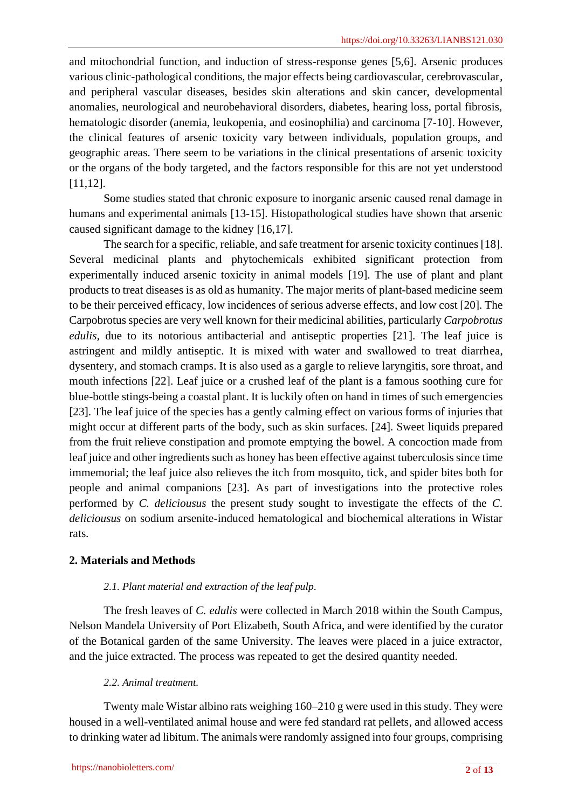and mitochondrial function, and induction of stress-response genes [5,6]. Arsenic produces various clinic-pathological conditions, the major effects being cardiovascular, cerebrovascular, and peripheral vascular diseases, besides skin alterations and skin cancer, developmental anomalies, neurological and neurobehavioral disorders, diabetes, hearing loss, portal fibrosis, hematologic disorder (anemia, leukopenia, and eosinophilia) and carcinoma [7-10]. However, the clinical features of arsenic toxicity vary between individuals, population groups, and geographic areas. There seem to be variations in the clinical presentations of arsenic toxicity or the organs of the body targeted, and the factors responsible for this are not yet understood [11,12].

Some studies stated that chronic exposure to inorganic arsenic caused renal damage in humans and experimental animals [13-15]. Histopathological studies have shown that arsenic caused significant damage to the kidney [16,17].

The search for a specific, reliable, and safe treatment for arsenic toxicity continues [18]. Several medicinal plants and phytochemicals exhibited significant protection from experimentally induced arsenic toxicity in animal models [19]. The use of plant and plant products to treat diseases is as old as humanity. The major merits of plant-based medicine seem to be their perceived efficacy, low incidences of serious adverse effects, and low cost [20]. The Carpobrotus species are very well known for their medicinal abilities, particularly *Carpobrotus edulis*, due to its notorious antibacterial and antiseptic properties [21]. The leaf juice is astringent and mildly antiseptic. It is mixed with water and swallowed to treat diarrhea, dysentery, and stomach cramps. It is also used as a gargle to relieve laryngitis, sore throat, and mouth infections [22]. Leaf juice or a crushed leaf of the plant is a famous soothing cure for blue-bottle stings-being a coastal plant. It is luckily often on hand in times of such emergencies [23]. The leaf juice of the species has a gently calming effect on various forms of injuries that might occur at different parts of the body, such as skin surfaces. [24]. Sweet liquids prepared from the fruit relieve constipation and promote emptying the bowel. A concoction made from leaf juice and other ingredients such as honey has been effective against tuberculosis since time immemorial; the leaf juice also relieves the itch from mosquito, tick, and spider bites both for people and animal companions [23]. As part of investigations into the protective roles performed by *C. deliciousus* the present study sought to investigate the effects of the *C. deliciousus* on sodium arsenite-induced hematological and biochemical alterations in Wistar rats.

# **2. Materials and Methods**

## *2.1. Plant material and extraction of the leaf pulp.*

The fresh leaves of *C. edulis* were collected in March 2018 within the South Campus, Nelson Mandela University of Port Elizabeth, South Africa, and were identified by the curator of the Botanical garden of the same University. The leaves were placed in a juice extractor, and the juice extracted. The process was repeated to get the desired quantity needed.

## *2.2. Animal treatment.*

Twenty male Wistar albino rats weighing 160–210 g were used in this study. They were housed in a well-ventilated animal house and were fed standard rat pellets, and allowed access to drinking water ad libitum. The animals were randomly assigned into four groups, comprising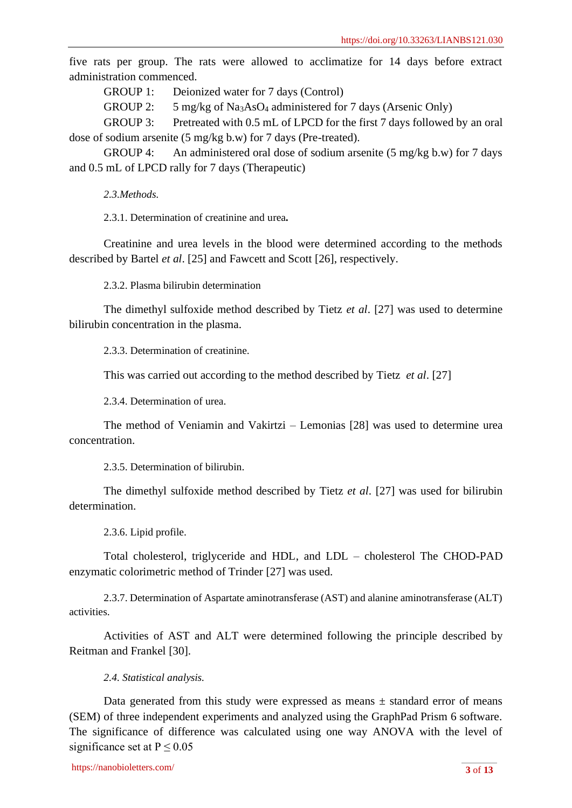five rats per group. The rats were allowed to acclimatize for 14 days before extract administration commenced.

GROUP 1: Deionized water for 7 days (Control)

GROUP 2: 5 mg/kg of Na<sub>3</sub>AsO<sub>4</sub> administered for 7 days (Arsenic Only)

GROUP 3: Pretreated with 0.5 mL of LPCD for the first 7 days followed by an oral dose of sodium arsenite (5 mg/kg b.w) for 7 days (Pre-treated).

GROUP 4: An administered oral dose of sodium arsenite (5 mg/kg b.w) for 7 days and 0.5 mL of LPCD rally for 7 days (Therapeutic)

*2.3.Methods.*

2.3.1. Determination of creatinine and urea**.**

Creatinine and urea levels in the blood were determined according to the methods described by Bartel *et al*. [25] and Fawcett and Scott [26], respectively.

2.3.2. Plasma bilirubin determination

The dimethyl sulfoxide method described by Tietz *et al*. [27] was used to determine bilirubin concentration in the plasma.

2.3.3. Determination of creatinine.

This was carried out according to the method described by Tietz *et al*. [27]

2.3.4. Determination of urea.

The method of Veniamin and Vakirtzi – Lemonias [28] was used to determine urea concentration.

2.3.5. Determination of bilirubin.

The dimethyl sulfoxide method described by Tietz *et al*. [27] was used for bilirubin determination.

2.3.6. Lipid profile.

Total cholesterol, triglyceride and HDL, and LDL – cholesterol The CHOD-PAD enzymatic colorimetric method of Trinder [27] was used.

2.3.7. Determination of Aspartate aminotransferase (AST) and alanine aminotransferase (ALT) activities.

Activities of AST and ALT were determined following the principle described by Reitman and Frankel [30].

*2.4. Statistical analysis.*

Data generated from this study were expressed as means  $\pm$  standard error of means (SEM) of three independent experiments and analyzed using the GraphPad Prism 6 software. The significance of difference was calculated using one way ANOVA with the level of significance set at  $P \le 0.05$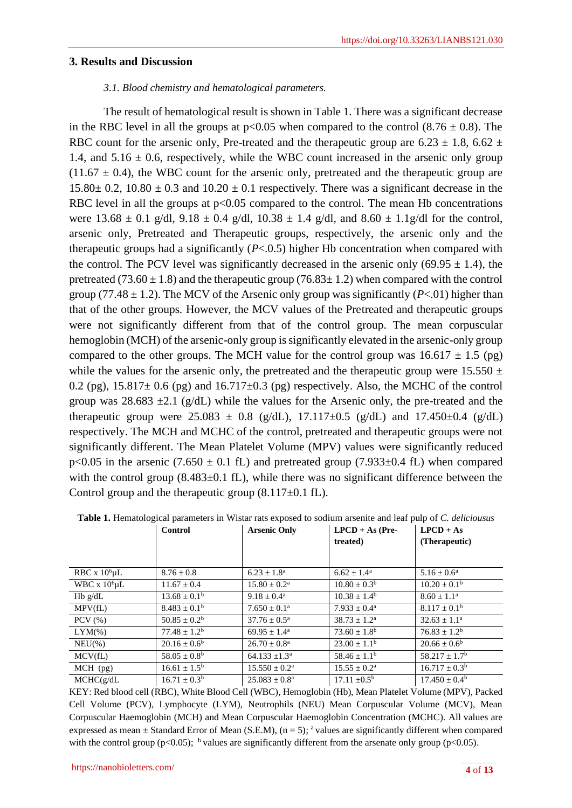#### **3. Results and Discussion**

#### *3.1. Blood chemistry and hematological parameters.*

The result of hematological result is shown in Table 1. There was a significant decrease in the RBC level in all the groups at  $p<0.05$  when compared to the control (8.76  $\pm$  0.8). The RBC count for the arsenic only, Pre-treated and the therapeutic group are  $6.23 \pm 1.8$ ,  $6.62 \pm 1.8$ 1.4, and  $5.16 \pm 0.6$ , respectively, while the WBC count increased in the arsenic only group  $(11.67 \pm 0.4)$ , the WBC count for the arsenic only, pretreated and the therapeutic group are  $15.80 \pm 0.2$ ,  $10.80 \pm 0.3$  and  $10.20 \pm 0.1$  respectively. There was a significant decrease in the RBC level in all the groups at  $p<0.05$  compared to the control. The mean Hb concentrations were  $13.68 \pm 0.1$  g/dl,  $9.18 \pm 0.4$  g/dl,  $10.38 \pm 1.4$  g/dl, and  $8.60 \pm 1.1$ g/dl for the control, arsenic only, Pretreated and Therapeutic groups, respectively, the arsenic only and the therapeutic groups had a significantly (*P*<.0.5) higher Hb concentration when compared with the control. The PCV level was significantly decreased in the arsenic only  $(69.95 \pm 1.4)$ , the pretreated (73.60  $\pm$  1.8) and the therapeutic group (76.83 $\pm$  1.2) when compared with the control group (77.48  $\pm$  1.2). The MCV of the Arsenic only group was significantly (*P*<.01) higher than that of the other groups. However, the MCV values of the Pretreated and therapeutic groups were not significantly different from that of the control group. The mean corpuscular hemoglobin (MCH) of the arsenic-only group is significantly elevated in the arsenic-only group compared to the other groups. The MCH value for the control group was  $16.617 \pm 1.5$  (pg) while the values for the arsenic only, the pretreated and the therapeutic group were  $15.550 \pm 10^{-1}$ 0.2 (pg),  $15.817 \pm 0.6$  (pg) and  $16.717 \pm 0.3$  (pg) respectively. Also, the MCHC of the control group was  $28.683 \pm 2.1$  (g/dL) while the values for the Arsenic only, the pre-treated and the therapeutic group were  $25.083 \pm 0.8$  (g/dL),  $17.117 \pm 0.5$  (g/dL) and  $17.450 \pm 0.4$  (g/dL) respectively. The MCH and MCHC of the control, pretreated and therapeutic groups were not significantly different. The Mean Platelet Volume (MPV) values were significantly reduced p<0.05 in the arsenic (7.650  $\pm$  0.1 fL) and pretreated group (7.933 $\pm$ 0.4 fL) when compared with the control group  $(8.483\pm0.1 \text{ fL})$ , while there was no significant difference between the Control group and the therapeutic group  $(8.117\pm0.1 \text{ fL})$ .

|                      | Control                 | <b>Arsenic Only</b>         | $LPCD + As$ (Pre-<br>treated) | $LPCD + As$<br>(Therapeutic) |
|----------------------|-------------------------|-----------------------------|-------------------------------|------------------------------|
|                      |                         |                             |                               |                              |
| RBC x $10^6$ $\mu$ L | $8.76 \pm 0.8$          | $6.23 \pm 1.8^{\rm a}$      | $6.62 \pm 1.4^{\text{a}}$     | $5.16 \pm 0.6^a$             |
| WBC x $106$ uL       | $11.67 \pm 0.4$         | $15.80 \pm 0.2^{\text{a}}$  | $10.80 \pm 0.3^{\rm b}$       | $10.20 \pm 0.1^{\rm b}$      |
| $Hb$ g/dL            | $13.68 \pm 0.1^{\rm b}$ | $9.18 \pm 0.4^{\text{a}}$   | $10.38 \pm 1.4^{\rm b}$       | $8.60 \pm 1.1^{\text{a}}$    |
| MPV(fL)              | $8.483 \pm 0.1^{\rm b}$ | $7.650 \pm 0.1^{\text{a}}$  | $7.933 \pm 0.4^{\text{a}}$    | $8.117 \pm 0.1^{\rm b}$      |
| $PCV$ $(\% )$        | $50.85 \pm 0.2^b$       | $37.76 \pm 0.5^{\text{a}}$  | $38.73 \pm 1.2^{\text{a}}$    | $32.63 \pm 1.1^{\text{a}}$   |
| $LYM(\% )$           | $77.48 \pm 1.2^b$       | $69.95 \pm 1.4^{\circ}$     | $73.60 \pm 1.8^{\rm b}$       | $76.83 \pm 1.2^b$            |
| $NEU(\%)$            | $20.16 \pm 0.6^b$       | $26.70 \pm 0.8^{\text{a}}$  | $23.00 \pm 1.1^{\rm b}$       | $20.66 \pm 0.6^b$            |
| MCV(fL)              | $58.05 \pm 0.8^{\rm b}$ | $64.133 \pm 1.3^{\circ}$    | $58.46 \pm 1.1^b$             | $58.217 \pm 1.7^b$           |
| $MCH$ (pg)           | $16.61 \pm 1.5^{\rm b}$ | $15.550 \pm 0.2^{\text{a}}$ | $15.55 \pm 0.2^{\text{a}}$    | $16.717 \pm 0.3^b$           |
| MCHC(g/dL)           | $16.71 \pm 0.3^b$       | $25.083 \pm 0.8^{\rm a}$    | $17.11 \pm 0.5^{\rm b}$       | $17.450 \pm 0.4^{\rm b}$     |

**Table 1.** Hematological parameters in Wistar rats exposed to sodium arsenite and leaf pulp of *C. deliciousus*

KEY: Red blood cell (RBC), White Blood Cell (WBC), Hemoglobin (Hb), Mean Platelet Volume (MPV), Packed Cell Volume (PCV), Lymphocyte (LYM), Neutrophils (NEU) Mean Corpuscular Volume (MCV), Mean Corpuscular Haemoglobin (MCH) and Mean Corpuscular Haemoglobin Concentration (MCHC). All values are expressed as mean  $\pm$  Standard Error of Mean (S.E.M), (n = 5); <sup>a</sup> values are significantly different when compared with the control group ( $p<0.05$ ); <sup>b</sup> values are significantly different from the arsenate only group ( $p<0.05$ ).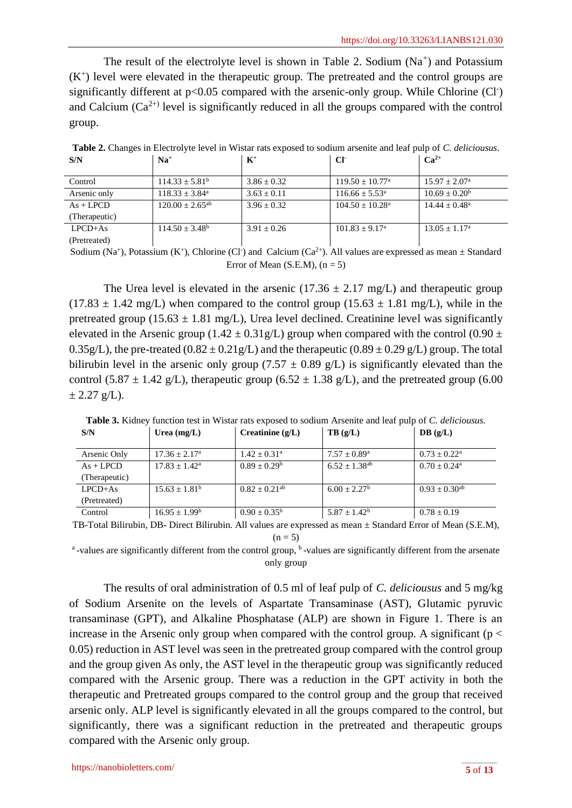The result of the electrolyte level is shown in Table 2. Sodium  $(Na<sup>+</sup>)$  and Potassium  $(K<sup>+</sup>)$  level were elevated in the therapeutic group. The pretreated and the control groups are significantly different at  $p<0.05$  compared with the arsenic-only group. While Chlorine (Cl<sup>-</sup>) and Calcium  $(Ca^{2+1})$  level is significantly reduced in all the groups compared with the control group.

| S/N           | $\mathbf{Na}^+$      | $K^+$           | CF                            | $Ca^{2+}$                |  |  |
|---------------|----------------------|-----------------|-------------------------------|--------------------------|--|--|
| Control       | $114.33 + 5.81b$     | $3.86 \pm 0.32$ | $119.50 + 10.77^{\text{a}}$   | $15.97 \pm 2.07^{\circ}$ |  |  |
|               |                      |                 |                               |                          |  |  |
| Arsenic only  | $118.33 + 3.84^a$    | $3.63 \pm 0.11$ | $116.66 + 5.53a$              | $10.69 \pm 0.20^b$       |  |  |
| $As + LPCD$   | $120.00 + 2.65^{ab}$ | $3.96 + 0.32$   | $104.50 + 10.28$ <sup>a</sup> | $14.44 + 0.48^a$         |  |  |
| (Therapeutic) |                      |                 |                               |                          |  |  |
| $LPCD+As$     | $114.50 + 3.48^b$    | $3.91 + 0.26$   | $101.83 + 9.17^a$             | $13.05 + 1.17^a$         |  |  |
| (Pretreated)  |                      |                 |                               |                          |  |  |

**Table 2.** Changes in Electrolyte level in Wistar rats exposed to sodium arsenite and leaf pulp of *C. deliciousus*.

Sodium (Na<sup>+</sup>), Potassium (K<sup>+</sup>), Chlorine (Cl<sup>-</sup>) and Calcium (Ca<sup>2+</sup>). All values are expressed as mean  $\pm$  Standard Error of Mean (S.E.M),  $(n = 5)$ 

The Urea level is elevated in the arsenic  $(17.36 \pm 2.17 \text{ mg/L})$  and therapeutic group  $(17.83 \pm 1.42 \text{ mg/L})$  when compared to the control group  $(15.63 \pm 1.81 \text{ mg/L})$ , while in the pretreated group (15.63  $\pm$  1.81 mg/L), Urea level declined. Creatinine level was significantly elevated in the Arsenic group (1.42  $\pm$  0.31g/L) group when compared with the control (0.90  $\pm$ 0.35g/L), the pre-treated  $(0.82 \pm 0.21$  g/L) and the therapeutic  $(0.89 \pm 0.29$  g/L) group. The total bilirubin level in the arsenic only group (7.57  $\pm$  0.89 g/L) is significantly elevated than the control (5.87  $\pm$  1.42 g/L), therapeutic group (6.52  $\pm$  1.38 g/L), and the pretreated group (6.00  $\pm$  2.27 g/L).

| S/N           | Urea $(mg/L)$             | Creatinine $(g/L)$            | TB(g/L)                 | DB(g/L)                    |
|---------------|---------------------------|-------------------------------|-------------------------|----------------------------|
| Arsenic Only  | $17.36 \pm 2.17^{\circ}$  | $1.42 + 0.31$ <sup>a</sup>    | $7.57 \pm 0.89^{\rm a}$ | $0.73 + 0.22^a$            |
| $As + LPCD$   | $17.83 + 1.42^{\text{a}}$ | $0.89 \pm 0.29^b$             | $6.52 + 1.38^{ab}$      | $0.70 \pm 0.24^{\text{a}}$ |
| (Therapeutic) |                           |                               |                         |                            |
| $LPCD+As$     | $15.63 \pm 1.81^{\rm b}$  | $0.82 \pm 0.21$ <sup>ab</sup> | $6.00 + 2.27^b$         | $0.93 \pm 0.30^{ab}$       |
| (Pretreated)  |                           |                               |                         |                            |
| Control       | $16.95 \pm 1.99^{\rm b}$  | $0.90 \pm 0.35^{\rm b}$       | $5.87 \pm 1.42^b$       | $0.78 \pm 0.19$            |

**Table 3.** Kidney function test in Wistar rats exposed to sodium Arsenite and leaf pulp of *C. deliciousus*.

TB-Total Bilirubin, DB- Direct Bilirubin. All values are expressed as mean ± Standard Error of Mean (S.E.M),  $(n = 5)$ 

<sup>a</sup>-values are significantly different from the control group, <sup>b</sup>-values are significantly different from the arsenate only group

The results of oral administration of 0.5 ml of leaf pulp of *C. deliciousus* and 5 mg/kg of Sodium Arsenite on the levels of Aspartate Transaminase (AST), Glutamic pyruvic transaminase (GPT), and Alkaline Phosphatase (ALP) are shown in Figure 1. There is an increase in the Arsenic only group when compared with the control group. A significant ( $p <$ 0.05) reduction in AST level was seen in the pretreated group compared with the control group and the group given As only, the AST level in the therapeutic group was significantly reduced compared with the Arsenic group. There was a reduction in the GPT activity in both the therapeutic and Pretreated groups compared to the control group and the group that received arsenic only. ALP level is significantly elevated in all the groups compared to the control, but significantly, there was a significant reduction in the pretreated and therapeutic groups compared with the Arsenic only group.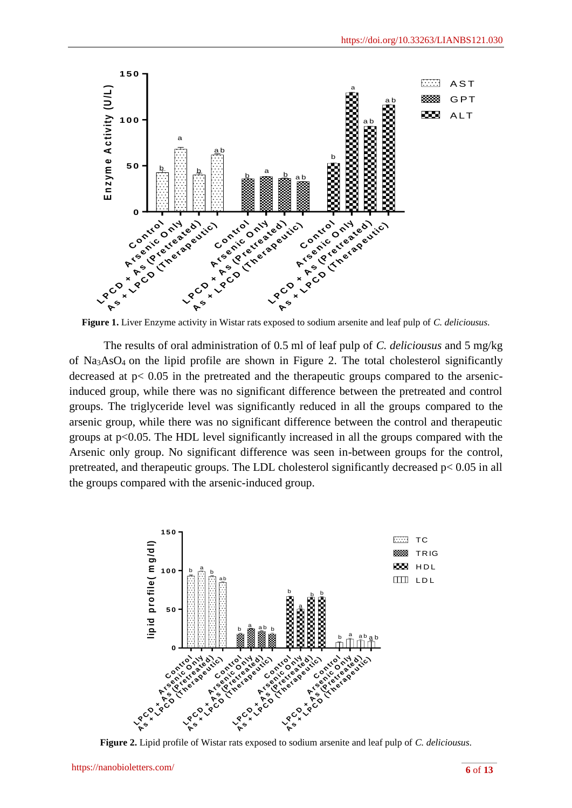

**Figure 1.** Liver Enzyme activity in Wistar rats exposed to sodium arsenite and leaf pulp of *C. deliciousus*.

The results of oral administration of 0.5 ml of leaf pulp of *C. deliciousus* and 5 mg/kg of Na3AsO4 on the lipid profile are shown in Figure 2. The total cholesterol significantly decreased at p< 0.05 in the pretreated and the therapeutic groups compared to the arsenicinduced group, while there was no significant difference between the pretreated and control groups. The triglyceride level was significantly reduced in all the groups compared to the arsenic group, while there was no significant difference between the control and therapeutic groups at  $p<0.05$ . The HDL level significantly increased in all the groups compared with the Arsenic only group. No significant difference was seen in-between groups for the control, pretreated, and therapeutic groups. The LDL cholesterol significantly decreased p< 0.05 in all the groups compared with the arsenic-induced group.



**Figure 2.** Lipid profile of Wistar rats exposed to sodium arsenite and leaf pulp of *C. deliciousus*.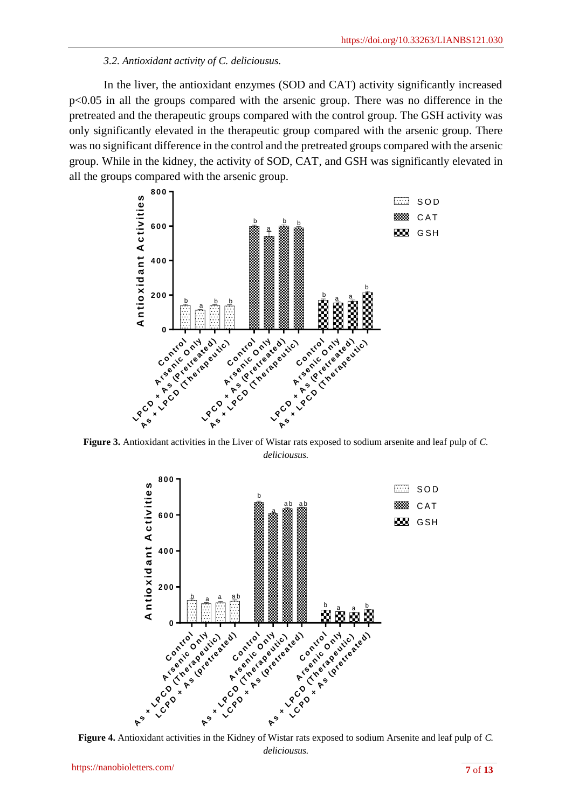## *3.2. Antioxidant activity of C. deliciousus.*

In the liver, the antioxidant enzymes (SOD and CAT) activity significantly increased p<0.05 in all the groups compared with the arsenic group. There was no difference in the pretreated and the therapeutic groups compared with the control group. The GSH activity was only significantly elevated in the therapeutic group compared with the arsenic group. There was no significant difference in the control and the pretreated groups compared with the arsenic group. While in the kidney, the activity of SOD, CAT, and GSH was significantly elevated in all the groups compared with the arsenic group.



**Figure 3.** Antioxidant activities in the Liver of Wistar rats exposed to sodium arsenite and leaf pulp of *C. deliciousus.*



**Figure 4.** Antioxidant activities in the Kidney of Wistar rats exposed to sodium Arsenite and leaf pulp of *C. deliciousus.*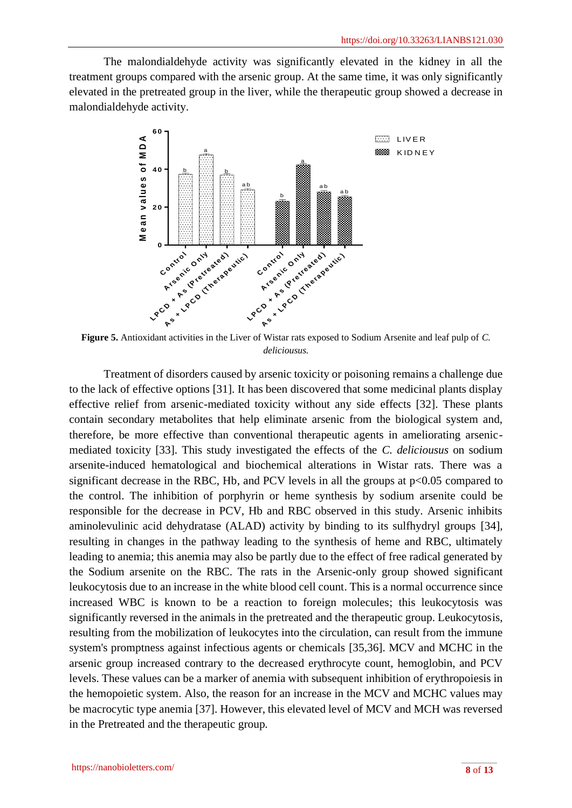The malondialdehyde activity was significantly elevated in the kidney in all the treatment groups compared with the arsenic group. At the same time, it was only significantly elevated in the pretreated group in the liver, while the therapeutic group showed a decrease in malondialdehyde activity.



**Figure 5.** Antioxidant activities in the Liver of Wistar rats exposed to Sodium Arsenite and leaf pulp of *C. deliciousus.*

Treatment of disorders caused by arsenic toxicity or poisoning remains a challenge due to the lack of effective options [31]. It has been discovered that some medicinal plants display effective relief from arsenic-mediated toxicity without any side effects [32]. These plants contain secondary metabolites that help eliminate arsenic from the biological system and, therefore, be more effective than conventional therapeutic agents in ameliorating arsenicmediated toxicity [33]. This study investigated the effects of the *C. deliciousus* on sodium arsenite-induced hematological and biochemical alterations in Wistar rats. There was a significant decrease in the RBC, Hb, and PCV levels in all the groups at  $p<0.05$  compared to the control. The inhibition of porphyrin or heme synthesis by sodium arsenite could be responsible for the decrease in PCV, Hb and RBC observed in this study. Arsenic inhibits aminolevulinic acid dehydratase (ALAD) activity by binding to its sulfhydryl groups [34], resulting in changes in the pathway leading to the synthesis of heme and RBC, ultimately leading to anemia; this anemia may also be partly due to the effect of free radical generated by the Sodium arsenite on the RBC. The rats in the Arsenic-only group showed significant leukocytosis due to an increase in the white blood cell count. This is a normal occurrence since increased WBC is known to be a reaction to foreign molecules; this leukocytosis was significantly reversed in the animals in the pretreated and the therapeutic group. Leukocytosis, resulting from the mobilization of leukocytes into the circulation, can result from the immune system's promptness against infectious agents or chemicals [35,36]. MCV and MCHC in the arsenic group increased contrary to the decreased erythrocyte count, hemoglobin, and PCV levels. These values can be a marker of anemia with subsequent inhibition of erythropoiesis in the hemopoietic system. Also, the reason for an increase in the MCV and MCHC values may be macrocytic type anemia [37]. However, this elevated level of MCV and MCH was reversed in the Pretreated and the therapeutic group.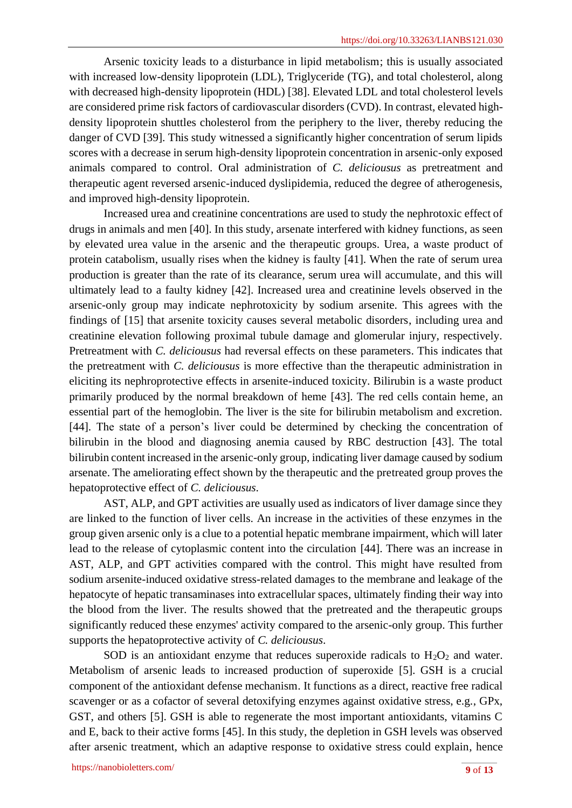Arsenic toxicity leads to a disturbance in lipid metabolism; this is usually associated with increased low-density lipoprotein (LDL), Triglyceride (TG), and total cholesterol, along with decreased high-density lipoprotein (HDL) [38]. Elevated LDL and total cholesterol levels are considered prime risk factors of cardiovascular disorders (CVD). In contrast, elevated highdensity lipoprotein shuttles cholesterol from the periphery to the liver, thereby reducing the danger of CVD [39]. This study witnessed a significantly higher concentration of serum lipids scores with a decrease in serum high-density lipoprotein concentration in arsenic-only exposed animals compared to control. Oral administration of *C. deliciousus* as pretreatment and therapeutic agent reversed arsenic-induced dyslipidemia, reduced the degree of atherogenesis, and improved high-density lipoprotein.

Increased urea and creatinine concentrations are used to study the nephrotoxic effect of drugs in animals and men [40]. In this study, arsenate interfered with kidney functions, as seen by elevated urea value in the arsenic and the therapeutic groups. Urea, a waste product of protein catabolism, usually rises when the kidney is faulty [41]. When the rate of serum urea production is greater than the rate of its clearance, serum urea will accumulate, and this will ultimately lead to a faulty kidney [42]. Increased urea and creatinine levels observed in the arsenic-only group may indicate nephrotoxicity by sodium arsenite. This agrees with the findings of [15] that arsenite toxicity causes several metabolic disorders, including urea and creatinine elevation following proximal tubule damage and glomerular injury, respectively. Pretreatment with *C. deliciousus* had reversal effects on these parameters. This indicates that the pretreatment with *C. deliciousus* is more effective than the therapeutic administration in eliciting its nephroprotective effects in arsenite-induced toxicity. Bilirubin is a waste product primarily produced by the normal breakdown of heme [43]. The red cells contain heme, an essential part of the hemoglobin. The liver is the site for bilirubin metabolism and excretion. [44]. The state of a person's liver could be determined by checking the concentration of bilirubin in the blood and diagnosing anemia caused by RBC destruction [43]. The total bilirubin content increased in the arsenic-only group, indicating liver damage caused by sodium arsenate. The ameliorating effect shown by the therapeutic and the pretreated group proves the hepatoprotective effect of *C. deliciousus*.

AST, ALP, and GPT activities are usually used as indicators of liver damage since they are linked to the function of liver cells. An increase in the activities of these enzymes in the group given arsenic only is a clue to a potential hepatic membrane impairment, which will later lead to the release of cytoplasmic content into the circulation [44]. There was an increase in AST, ALP, and GPT activities compared with the control. This might have resulted from sodium arsenite-induced oxidative stress-related damages to the membrane and leakage of the hepatocyte of hepatic transaminases into extracellular spaces, ultimately finding their way into the blood from the liver. The results showed that the pretreated and the therapeutic groups significantly reduced these enzymes' activity compared to the arsenic-only group. This further supports the hepatoprotective activity of *C. deliciousus*.

SOD is an antioxidant enzyme that reduces superoxide radicals to  $H_2O_2$  and water. Metabolism of arsenic leads to increased production of superoxide [5]. GSH is a crucial component of the antioxidant defense mechanism. It functions as a direct, reactive free radical scavenger or as a cofactor of several detoxifying enzymes against oxidative stress, e.g., GPx, GST, and others [5]. GSH is able to regenerate the most important antioxidants, vitamins C and E, back to their active forms [45]. In this study, the depletion in GSH levels was observed after arsenic treatment, which an adaptive response to oxidative stress could explain, hence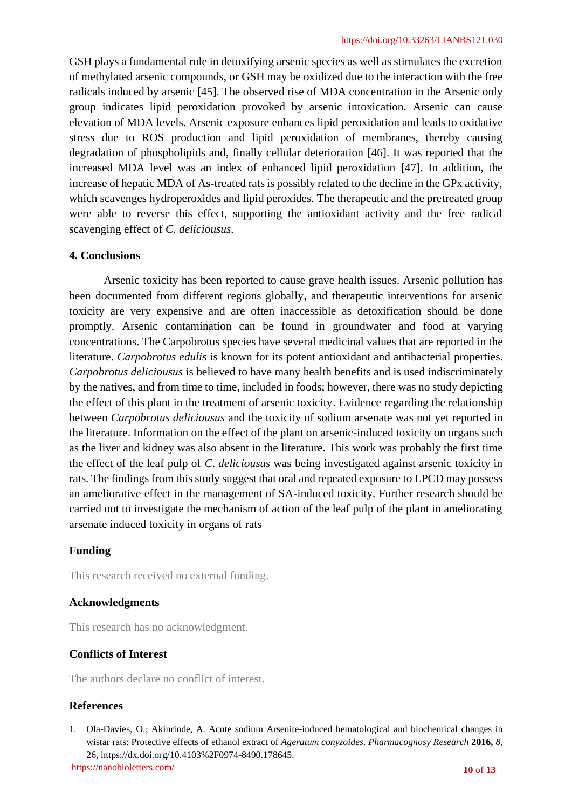GSH plays a fundamental role in detoxifying arsenic species as well as stimulates the excretion of methylated arsenic compounds, or GSH may be oxidized due to the interaction with the free radicals induced by arsenic [45]. The observed rise of MDA concentration in the Arsenic only group indicates lipid peroxidation provoked by arsenic intoxication. Arsenic can cause elevation of MDA levels. Arsenic exposure enhances lipid peroxidation and leads to oxidative stress due to ROS production and lipid peroxidation of membranes, thereby causing degradation of phospholipids and, finally cellular deterioration [46]. It was reported that the increased MDA level was an index of enhanced lipid peroxidation [47]. In addition, the increase of hepatic MDA of As-treated rats is possibly related to the decline in the GPx activity, which scavenges hydroperoxides and lipid peroxides. The therapeutic and the pretreated group were able to reverse this effect, supporting the antioxidant activity and the free radical scavenging effect of *C. deliciousus*.

# **4. Conclusions**

Arsenic toxicity has been reported to cause grave health issues. Arsenic pollution has been documented from different regions globally, and therapeutic interventions for arsenic toxicity are very expensive and are often inaccessible as detoxification should be done promptly. Arsenic contamination can be found in groundwater and food at varying concentrations. The Carpobrotus species have several medicinal values that are reported in the literature. *Carpobrotus edulis* is known for its potent antioxidant and antibacterial properties. *Carpobrotus deliciousus* is believed to have many health benefits and is used indiscriminately by the natives, and from time to time, included in foods; however, there was no study depicting the effect of this plant in the treatment of arsenic toxicity. Evidence regarding the relationship between *Carpobrotus deliciousus* and the toxicity of sodium arsenate was not yet reported in the literature. Information on the effect of the plant on arsenic-induced toxicity on organs such as the liver and kidney was also absent in the literature. This work was probably the first time the effect of the leaf pulp of *C*. *deliciousus* was being investigated against arsenic toxicity in rats. The findings from this study suggest that oral and repeated exposure to LPCD may possess an ameliorative effect in the management of SA-induced toxicity. Further research should be carried out to investigate the mechanism of action of the leaf pulp of the plant in ameliorating arsenate induced toxicity in organs of rats

# **Funding**

This research received no external funding.

# **Acknowledgments**

This research has no acknowledgment.

# **Conflicts of Interest**

The authors declare no conflict of interest.

# **References**

<https://nanobioletters.com/> **10** of **13** 1. Ola-Davies, O.; Akinrinde, A. Acute sodium Arsenite-induced hematological and biochemical changes in wistar rats: Protective effects of ethanol extract of *Ageratum conyzoides*. *Pharmacognosy Research* **2016,** *8*, 26, [https://dx.doi.org/10.4103%2F0974-8490.178645.](https://dx.doi.org/10.4103%2F0974-8490.178645)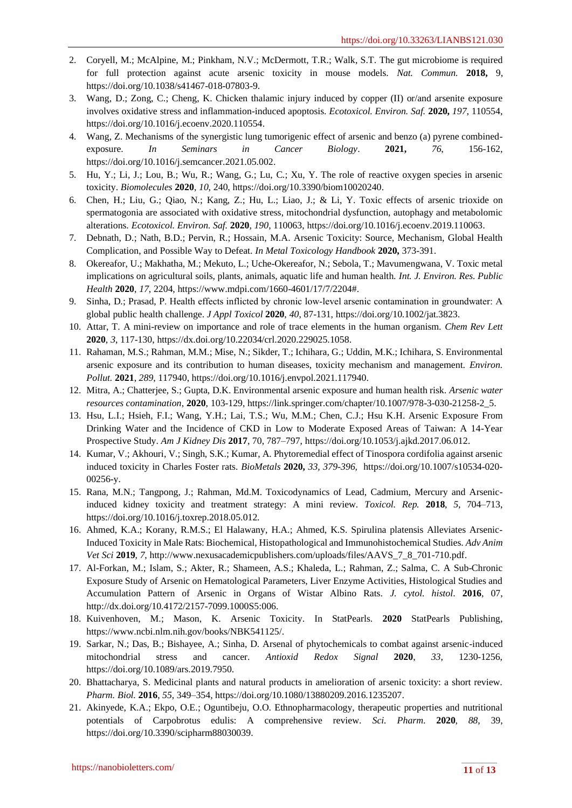- 2. Coryell, M.; McAlpine, M.; Pinkham, N.V.; McDermott, T.R.; Walk, S.T. The gut microbiome is required for full protection against acute arsenic toxicity in mouse models. *Nat. Commun.* **2018,** 9, [https://doi.org/10.1038/s41467-018-07803-9.](https://doi.org/10.1038/s41467-018-07803-9)
- 3. Wang, D.; Zong, C.; Cheng, K. Chicken thalamic injury induced by copper (II) or/and arsenite exposure involves oxidative stress and inflammation-induced apoptosis. *Ecotoxicol. Environ. Saf.* **2020,** *197*, 110554, [https://doi.org/10.1016/j.ecoenv.2020.110554.](https://doi.org/10.1016/j.ecoenv.2020.110554)
- 4. Wang, Z. Mechanisms of the synergistic lung tumorigenic effect of arsenic and benzo (a) pyrene combinedexposure. *In Seminars in Cancer Biology*. **2021,** *76*, 156-162, [https://doi.org/10.1016/j.semcancer.2021.05.002.](https://doi.org/10.1016/j.semcancer.2021.05.002)
- 5. Hu, Y.; Li, J.; Lou, B.; Wu, R.; Wang, G.; Lu, C.; Xu, Y. The role of reactive oxygen species in arsenic toxicity. *Biomolecules* **2020**, *10*, 240, [https://doi.org/10.3390/biom10020240.](https://doi.org/10.3390/biom10020240)
- 6. Chen, H.; Liu, G.; Qiao, N.; Kang, Z.; Hu, L.; Liao, J.; & Li, Y. Toxic effects of arsenic trioxide on spermatogonia are associated with oxidative stress, mitochondrial dysfunction, autophagy and metabolomic alterations. *Ecotoxicol. Environ. Saf.* **2020**, *190*, 110063, [https://doi.org/10.1016/j.ecoenv.2019.110063.](https://doi.org/10.1016/j.ecoenv.2019.110063)
- 7. Debnath, D.; Nath, B.D.; Pervin, R.; Hossain, M.A. Arsenic Toxicity: Source, Mechanism, Global Health Complication, and Possible Way to Defeat. *In Metal Toxicology Handbook* **2020,** 373-391.
- 8. Okereafor, U.; Makhatha, M.; Mekuto, L.; Uche-Okereafor, N.; Sebola, T.; Mavumengwana, V. Toxic metal implications on agricultural soils, plants, animals, aquatic life and human health. *Int. J. Environ. Res. Public Health* **2020**, *17*, 2204[, https://www.mdpi.com/1660-4601/17/7/2204#.](https://www.mdpi.com/1660-4601/17/7/2204)
- 9. Sinha, D.; Prasad, P. Health effects inflicted by chronic low‐level arsenic contamination in groundwater: A global public health challenge. *J Appl Toxicol* **2020**, *40*, 87-131, [https://doi.org/10.1002/jat.3823.](https://doi.org/10.1002/jat.3823)
- 10. Attar, T. A mini-review on importance and role of trace elements in the human organism. *Chem Rev Lett* **2020**, *3*, 117-130, [https://dx.doi.org/10.22034/crl.2020.229025.1058.](https://dx.doi.org/10.22034/crl.2020.229025.1058)
- 11. Rahaman, M.S.; Rahman, M.M.; Mise, N.; Sikder, T.; Ichihara, G.; Uddin, M.K.; Ichihara, S. Environmental arsenic exposure and its contribution to human diseases, toxicity mechanism and management. *Environ. Pollut.* **2021**, *289*, 117940[, https://doi.org/10.1016/j.envpol.2021.117940.](https://doi.org/10.1016/j.envpol.2021.117940)
- 12. Mitra, A.; Chatterjee, S.; Gupta, D.K. Environmental arsenic exposure and human health risk. *Arsenic water resources contamination*, **2020**, 103-129[, https://link.springer.com/chapter/10.1007/978-3-030-21258-2\\_5.](https://link.springer.com/chapter/10.1007/978-3-030-21258-2_5)
- 13. Hsu, L.I.; Hsieh, F.I.; Wang, Y.H.; Lai, T.S.; Wu, M.M.; Chen, C.J.; Hsu K.H. Arsenic Exposure From Drinking Water and the Incidence of CKD in Low to Moderate Exposed Areas of Taiwan: A 14-Year Prospective Study. *Am J Kidney Dis* **2017**, 70, 787–797, [https://doi.org/10.1053/j.ajkd.2017.06.012.](https://doi.org/10.1053/j.ajkd.2017.06.012)
- 14. Kumar, V.; Akhouri, V.; Singh, S.K.; Kumar, A. Phytoremedial effect of Tinospora cordifolia against arsenic induced toxicity in Charles Foster rats. *BioMetals* **2020,** *33, 379-396,* [https://doi.org/10.1007/s10534-020-](https://doi.org/10.1007/s10534-020-00256-y) [00256-y.](https://doi.org/10.1007/s10534-020-00256-y)
- 15. Rana, M.N.; Tangpong, J.; Rahman, Md.M. Toxicodynamics of Lead, Cadmium, Mercury and Arsenicinduced kidney toxicity and treatment strategy: A mini review. *Toxicol. Rep.* **2018**, *5*, 704–713, [https://doi.org/10.1016/j.toxrep.2018.05.012.](https://doi.org/10.1016/j.toxrep.2018.05.012)
- 16. Ahmed, K.A.; Korany, R.M.S.; El Halawany, H.A.; Ahmed, K.S. Spirulina platensis Alleviates Arsenic-Induced Toxicity in Male Rats: Biochemical, Histopathological and Immunohistochemical Studies. *Adv Anim Vet Sci* **2019**, *7*[, http://www.nexusacademicpublishers.com/uploads/files/AAVS\\_7\\_8\\_701-710.pdf.](http://www.nexusacademicpublishers.com/uploads/files/AAVS_7_8_701-710.pdf)
- 17. Al-Forkan, M.; Islam, S.; Akter, R.; Shameen, A.S.; Khaleda, L.; Rahman, Z.; Salma, C. A Sub-Chronic Exposure Study of Arsenic on Hematological Parameters, Liver Enzyme Activities, Histological Studies and Accumulation Pattern of Arsenic in Organs of Wistar Albino Rats. *J. cytol. histol*. **2016**, 07, [http://dx.doi.org/10.4172/2157-7099.1000S5:006.](http://dx.doi.org/10.4172/2157-7099.1000S5:006)
- 18. Kuivenhoven, M.; Mason, K. Arsenic Toxicity. In StatPearls. **2020** StatPearls Publishing, [https://www.ncbi.nlm.nih.gov/books/NBK541125/.](https://www.ncbi.nlm.nih.gov/books/NBK541125/)
- 19. Sarkar, N.; Das, B.; Bishayee, A.; Sinha, D. Arsenal of phytochemicals to combat against arsenic-induced mitochondrial stress and cancer. *Antioxid Redox Signal* **2020**, *33*, 1230-1256, [https://doi.org/10.1089/ars.2019.7950.](https://doi.org/10.1089/ars.2019.7950)
- 20. Bhattacharya, S. Medicinal plants and natural products in amelioration of arsenic toxicity: a short review. *Pharm. Biol.* **2016**, *55*, 349–354, [https://doi.org/10.1080/13880209.2016.1235207.](https://doi.org/10.1080/13880209.2016.1235207)
- 21. Akinyede, K.A.; Ekpo, O.E.; Oguntibeju, O.O. Ethnopharmacology, therapeutic properties and nutritional potentials of Carpobrotus edulis: A comprehensive review. *Sci. Pharm*. **2020**, *88*, 39, [https://doi.org/10.3390/scipharm88030039.](https://doi.org/10.3390/scipharm88030039)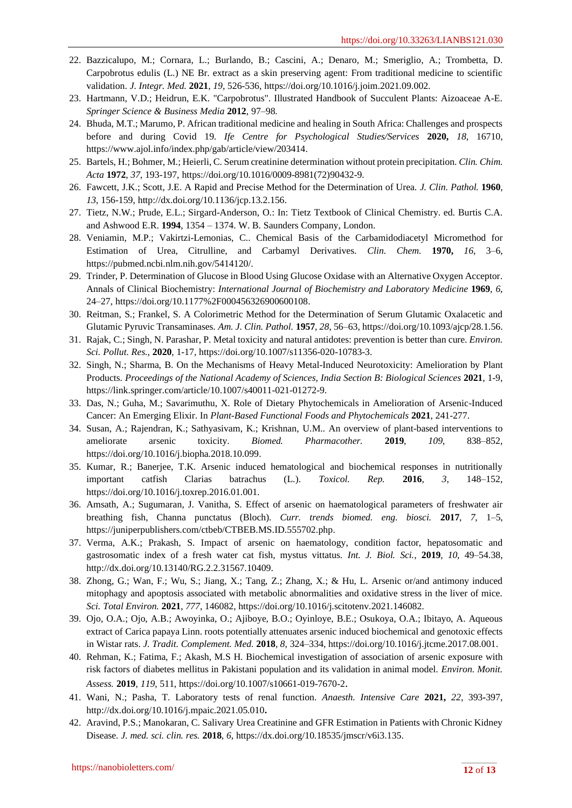- 22. Bazzicalupo, M.; Cornara, L.; Burlando, B.; Cascini, A.; Denaro, M.; Smeriglio, A.; Trombetta, D. Carpobrotus edulis (L.) NE Br. extract as a skin preserving agent: From traditional medicine to scientific validation. *J. Integr. Med.* **2021**, *19*, 526-536, [https://doi.org/10.1016/j.joim.2021.09.002.](https://doi.org/10.1016/j.joim.2021.09.002)
- 23. Hartmann, V.D.; Heidrun, E.K. "Carpobrotus". Illustrated Handbook of Succulent Plants: Aizoaceae A-E. *Springer Science & Business Media* **2012**, 97–98.
- 24. Bhuda, M.T.; Marumo, P. African traditional medicine and healing in South Africa: Challenges and prospects before and during Covid 19. *Ife Centre for Psychological Studies/Services* **2020,** *18*, 16710, [https://www.ajol.info/index.php/gab/article/view/203414.](https://www.ajol.info/index.php/gab/article/view/203414)
- 25. Bartels, H.; Bohmer, M.; Heierli, C. Serum creatinine determination without protein precipitation. *Clin. Chim. Acta* **1972**, *37*, 193-197, [https://doi.org/10.1016/0009-8981\(72\)90432-9.](https://doi.org/10.1016/0009-8981(72)90432-9)
- 26. Fawcett, J.K.; Scott, J.E. A Rapid and Precise Method for the Determination of Urea. *J. Clin. Pathol.* **1960**, *13*, 156-159, [http://dx.doi.org/10.1136/jcp.13.2.156.](http://dx.doi.org/10.1136/jcp.13.2.156)
- 27. Tietz, N.W.; Prude, E.L.; Sirgard-Anderson, O.: In: Tietz Textbook of Clinical Chemistry. ed. Burtis C.A. and Ashwood E.R. **1994**, 1354 – 1374. W. B. Saunders Company, London.
- 28. Veniamin, M.P.; Vakirtzi-Lemonias, C.. Chemical Basis of the Carbamidodiacetyl Micromethod for Estimation of Urea, Citrulline, and Carbamyl Derivatives. *Clin. Chem.* **1970,** *16*, 3–6, [https://pubmed.ncbi.nlm.nih.gov/5414120/.](https://pubmed.ncbi.nlm.nih.gov/5414120/)
- 29. Trinder, P. Determination of Glucose in Blood Using Glucose Oxidase with an Alternative Oxygen Acceptor. Annals of Clinical Biochemistry: *International Journal of Biochemistry and Laboratory Medicine* **1969**, *6*, 24–27, [https://doi.org/10.1177%2F000456326900600108.](https://doi.org/10.1177%2F000456326900600108)
- 30. Reitman, S.; Frankel, S. A Colorimetric Method for the Determination of Serum Glutamic Oxalacetic and Glutamic Pyruvic Transaminases. *Am. J. Clin. Pathol.* **1957**, *28*, 56–63[, https://doi.org/10.1093/ajcp/28.1.56.](https://doi.org/10.1093/ajcp/28.1.56)
- 31. Rajak, C.; Singh, N. Parashar, P. Metal toxicity and natural antidotes: prevention is better than cure. *Environ. Sci. Pollut. Res.*, **2020**, 1-17, [https://doi.org/10.1007/s11356-020-10783-3.](https://doi.org/10.1007/s11356-020-10783-3)
- 32. Singh, N.; Sharma, B. On the Mechanisms of Heavy Metal-Induced Neurotoxicity: Amelioration by Plant Products. *Proceedings of the National Academy of Sciences, India Section B: Biological Sciences* **2021**, 1-9, [https://link.springer.com/article/10.1007/s40011-021-01272-9.](https://link.springer.com/article/10.1007/s40011-021-01272-9)
- 33. Das, N.; Guha, M.; Savarimuthu, X. Role of Dietary Phytochemicals in Amelioration of Arsenic-Induced Cancer: An Emerging Elixir. In *Plant-Based Functional Foods and Phytochemicals* **2021**, 241-277.
- 34. Susan, A.; Rajendran, K.; Sathyasivam, K.; Krishnan, U.M.. An overview of plant-based interventions to ameliorate arsenic toxicity. *Biomed. Pharmacother.* **2019**, *109*, 838–852, [https://doi.org/10.1016/j.biopha.2018.10.099.](https://doi.org/10.1016/j.biopha.2018.10.099)
- 35. Kumar, R.; Banerjee, T.K. Arsenic induced hematological and biochemical responses in nutritionally important catfish Clarias batrachus (L.). *Toxicol. Rep.* **2016**, *3*, 148–152, [https://doi.org/10.1016/j.toxrep.2016.01.001.](https://doi.org/10.1016/j.toxrep.2016.01.001)
- 36. Amsath, A.; Sugumaran, J. Vanitha, S. Effect of arsenic on haematological parameters of freshwater air breathing fish, Channa punctatus (Bloch). *Curr. trends biomed. eng. biosci.* **2017**, *7*, 1–5, [https://juniperpublishers.com/ctbeb/CTBEB.MS.ID.555702.php.](https://juniperpublishers.com/ctbeb/CTBEB.MS.ID.555702.php)
- 37. Verma, A.K.; Prakash, S. Impact of arsenic on haematology, condition factor, hepatosomatic and gastrosomatic index of a fresh water cat fish, mystus vittatus. *Int. J. Biol. Sci.*, **2019**, *10*, 49–54.38, [http://dx.doi.org/10.13140/RG.2.2.31567.10409.](http://dx.doi.org/10.13140/RG.2.2.31567.10409)
- 38. Zhong, G.; Wan, F.; Wu, S.; Jiang, X.; Tang, Z.; Zhang, X.; & Hu, L. Arsenic or/and antimony induced mitophagy and apoptosis associated with metabolic abnormalities and oxidative stress in the liver of mice. *Sci. Total Environ.* **2021**, *777*, 146082, [https://doi.org/10.1016/j.scitotenv.2021.146082.](https://doi.org/10.1016/j.scitotenv.2021.146082)
- 39. Ojo, O.A.; Ojo, A.B.; Awoyinka, O.; Ajiboye, B.O.; Oyinloye, B.E.; Osukoya, O.A.; Ibitayo, A. Aqueous extract of Carica papaya Linn. roots potentially attenuates arsenic induced biochemical and genotoxic effects in Wistar rats. *J. Tradit. Complement. Med.* **2018**, *8*, 324–334[, https://doi.org/10.1016/j.jtcme.2017.08.001.](https://doi.org/10.1016/j.jtcme.2017.08.001)
- 40. Rehman, K.; Fatima, F.; Akash, M.S H. Biochemical investigation of association of arsenic exposure with risk factors of diabetes mellitus in Pakistani population and its validation in animal model. *Environ. Monit. Assess.* **2019**, *119*, 511,<https://doi.org/10.1007/s10661-019-7670-2>.
- 41. Wani, N.; Pasha, T. Laboratory tests of renal function. *Anaesth. Intensive Care* **2021,** *22*, 393**-**397, <http://dx.doi.org/10.1016/j.mpaic.2021.05.010>**.**
- 42. Aravind, P.S.; Manokaran, C. Salivary Urea Creatinine and GFR Estimation in Patients with Chronic Kidney Disease. *J. med. sci. clin. res.* **2018**, *6*[, https://dx.doi.org/10.18535/jmscr/v6i3.135.](https://dx.doi.org/10.18535/jmscr/v6i3.135)